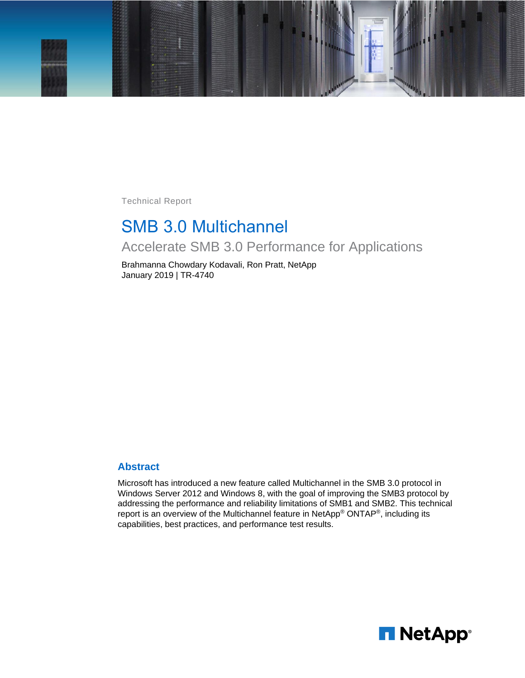

Technical Report

# SMB 3.0 Multichannel

Accelerate SMB 3.0 Performance for Applications

Brahmanna Chowdary Kodavali, Ron Pratt, NetApp January 2019 | TR-4740

#### **Abstract**

Microsoft has introduced a new feature called Multichannel in the SMB 3.0 protocol in Windows Server 2012 and Windows 8, with the goal of improving the SMB3 protocol by addressing the performance and reliability limitations of SMB1 and SMB2. This technical report is an overview of the Multichannel feature in NetApp® ONTAP®, including its capabilities, best practices, and performance test results.

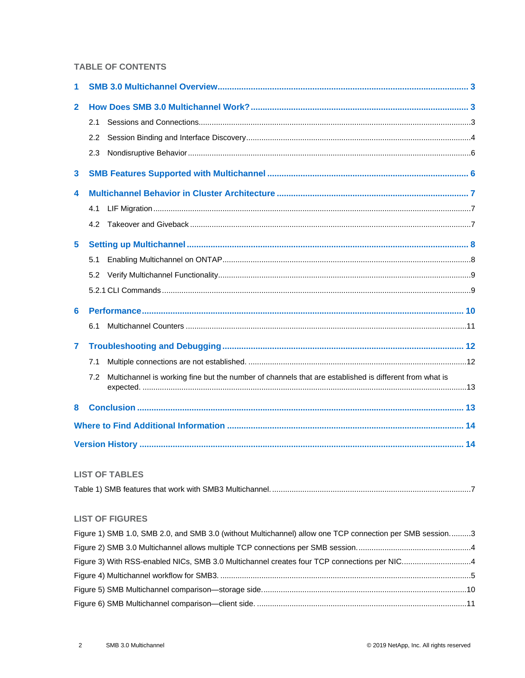### **TABLE OF CONTENTS**

| 1               |                                                                                                               |  |
|-----------------|---------------------------------------------------------------------------------------------------------------|--|
| $\overline{2}$  |                                                                                                               |  |
|                 | 2.1                                                                                                           |  |
|                 | 2.2                                                                                                           |  |
|                 | 2.3                                                                                                           |  |
| $\mathbf{3}$    |                                                                                                               |  |
| 4               |                                                                                                               |  |
|                 | 4.1                                                                                                           |  |
|                 | 4.2                                                                                                           |  |
| $5\phantom{.0}$ |                                                                                                               |  |
|                 | 5.1                                                                                                           |  |
|                 | 5.2                                                                                                           |  |
|                 |                                                                                                               |  |
| 6               |                                                                                                               |  |
|                 | 6.1                                                                                                           |  |
| 7               |                                                                                                               |  |
|                 | 7.1                                                                                                           |  |
|                 | Multichannel is working fine but the number of channels that are established is different from what is<br>7.2 |  |
| 8               |                                                                                                               |  |
|                 |                                                                                                               |  |
|                 |                                                                                                               |  |

#### **LIST OF TABLES**

|--|

### **LIST OF FIGURES**

| Figure 1) SMB 1.0, SMB 2.0, and SMB 3.0 (without Multichannel) allow one TCP connection per SMB session3 |  |
|----------------------------------------------------------------------------------------------------------|--|
|                                                                                                          |  |
| Figure 3) With RSS-enabled NICs, SMB 3.0 Multichannel creates four TCP connections per NIC4              |  |
|                                                                                                          |  |
|                                                                                                          |  |
|                                                                                                          |  |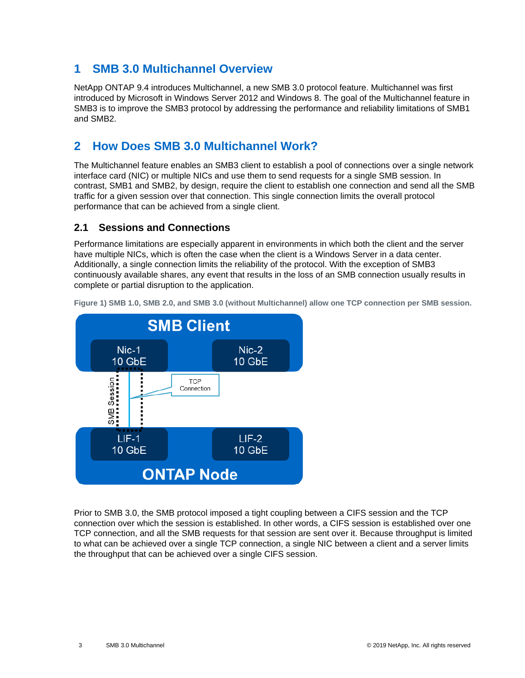## <span id="page-2-0"></span>**1 SMB 3.0 Multichannel Overview**

NetApp ONTAP 9.4 introduces Multichannel, a new SMB 3.0 protocol feature. Multichannel was first introduced by Microsoft in Windows Server 2012 and Windows 8. The goal of the Multichannel feature in SMB3 is to improve the SMB3 protocol by addressing the performance and reliability limitations of SMB1 and SMB2.

## <span id="page-2-1"></span>**2 How Does SMB 3.0 Multichannel Work?**

The Multichannel feature enables an SMB3 client to establish a pool of connections over a single network interface card (NIC) or multiple NICs and use them to send requests for a single SMB session. In contrast, SMB1 and SMB2, by design, require the client to establish one connection and send all the SMB traffic for a given session over that connection. This single connection limits the overall protocol performance that can be achieved from a single client.

### <span id="page-2-2"></span>**2.1 Sessions and Connections**

Performance limitations are especially apparent in environments in which both the client and the server have multiple NICs, which is often the case when the client is a Windows Server in a data center. Additionally, a single connection limits the reliability of the protocol. With the exception of SMB3 continuously available shares, any event that results in the loss of an SMB connection usually results in complete or partial disruption to the application.



<span id="page-2-3"></span>**Figure 1) SMB 1.0, SMB 2.0, and SMB 3.0 (without Multichannel) allow one TCP connection per SMB session.**

Prior to SMB 3.0, the SMB protocol imposed a tight coupling between a CIFS session and the TCP connection over which the session is established. In other words, a CIFS session is established over one TCP connection, and all the SMB requests for that session are sent over it. Because throughput is limited to what can be achieved over a single TCP connection, a single NIC between a client and a server limits the throughput that can be achieved over a single CIFS session.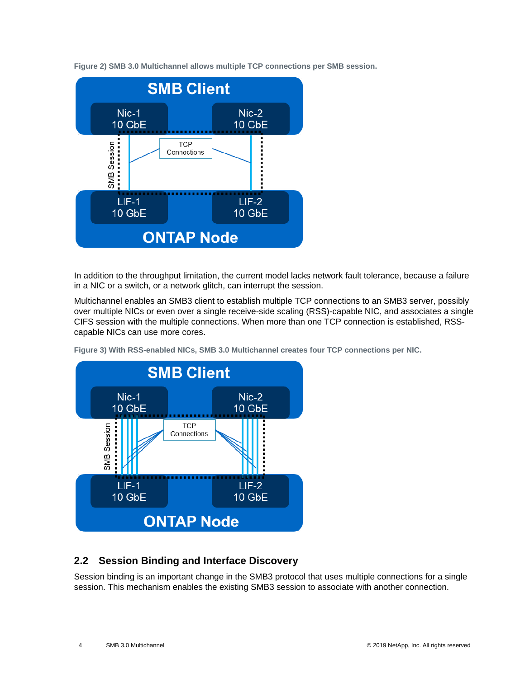<span id="page-3-1"></span>**Figure 2) SMB 3.0 Multichannel allows multiple TCP connections per SMB session.**



In addition to the throughput limitation, the current model lacks network fault tolerance, because a failure in a NIC or a switch, or a network glitch, can interrupt the session.

Multichannel enables an SMB3 client to establish multiple TCP connections to an SMB3 server, possibly over multiple NICs or even over a single receive-side scaling (RSS)-capable NIC, and associates a single CIFS session with the multiple connections. When more than one TCP connection is established, RSScapable NICs can use more cores.



<span id="page-3-2"></span>**Figure 3) With RSS-enabled NICs, SMB 3.0 Multichannel creates four TCP connections per NIC.**

### <span id="page-3-0"></span>**2.2 Session Binding and Interface Discovery**

Session binding is an important change in the SMB3 protocol that uses multiple connections for a single session. This mechanism enables the existing SMB3 session to associate with another connection.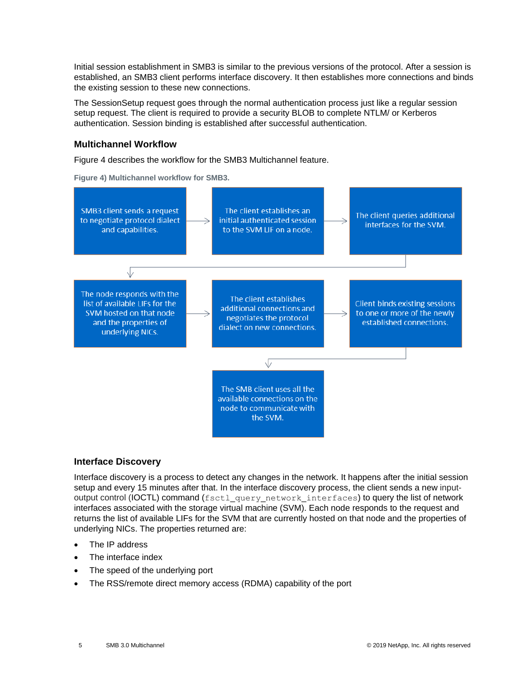Initial session establishment in SMB3 is similar to the previous versions of the protocol. After a session is established, an SMB3 client performs interface discovery. It then establishes more connections and binds the existing session to these new connections.

The SessionSetup request goes through the normal authentication process just like a regular session setup request. The client is required to provide a security BLOB to complete NTLM/ or Kerberos authentication. Session binding is established after successful authentication.

#### **Multichannel Workflow**

[Figure 4](#page-4-0) describes the workflow for the SMB3 Multichannel feature.

<span id="page-4-0"></span>**Figure 4) Multichannel workflow for SMB3.**



#### **Interface Discovery**

Interface discovery is a process to detect any changes in the network. It happens after the initial session setup and every 15 minutes after that. In the interface discovery process, the client sends a new inputoutput control (IOCTL) command (fsctl\_query\_network\_interfaces) to query the list of network interfaces associated with the storage virtual machine (SVM). Each node responds to the request and returns the list of available LIFs for the SVM that are currently hosted on that node and the properties of underlying NICs. The properties returned are:

- The IP address
- The interface index
- The speed of the underlying port
- The RSS/remote direct memory access (RDMA) capability of the port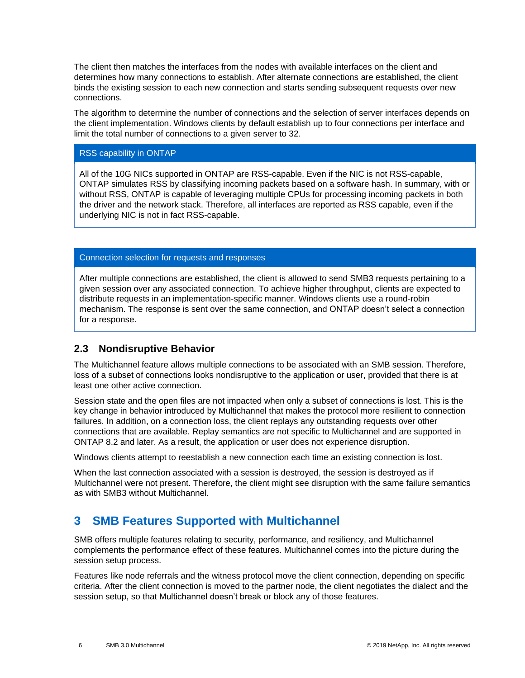The client then matches the interfaces from the nodes with available interfaces on the client and determines how many connections to establish. After alternate connections are established, the client binds the existing session to each new connection and starts sending subsequent requests over new connections.

The algorithm to determine the number of connections and the selection of server interfaces depends on the client implementation. Windows clients by default establish up to four connections per interface and limit the total number of connections to a given server to 32.

#### RSS capability in ONTAP

All of the 10G NICs supported in ONTAP are RSS-capable. Even if the NIC is not RSS-capable, ONTAP simulates RSS by classifying incoming packets based on a software hash. In summary, with or without RSS, ONTAP is capable of leveraging multiple CPUs for processing incoming packets in both the driver and the network stack. Therefore, all interfaces are reported as RSS capable, even if the underlying NIC is not in fact RSS-capable.

#### Connection selection for requests and responses

After multiple connections are established, the client is allowed to send SMB3 requests pertaining to a given session over any associated connection. To achieve higher throughput, clients are expected to distribute requests in an implementation-specific manner. Windows clients use a round-robin mechanism. The response is sent over the same connection, and ONTAP doesn't select a connection for a response.

### <span id="page-5-0"></span>**2.3 Nondisruptive Behavior**

The Multichannel feature allows multiple connections to be associated with an SMB session. Therefore, loss of a subset of connections looks nondisruptive to the application or user, provided that there is at least one other active connection.

Session state and the open files are not impacted when only a subset of connections is lost. This is the key change in behavior introduced by Multichannel that makes the protocol more resilient to connection failures. In addition, on a connection loss, the client replays any outstanding requests over other connections that are available. Replay semantics are not specific to Multichannel and are supported in ONTAP 8.2 and later. As a result, the application or user does not experience disruption.

Windows clients attempt to reestablish a new connection each time an existing connection is lost.

When the last connection associated with a session is destroyed, the session is destroyed as if Multichannel were not present. Therefore, the client might see disruption with the same failure semantics as with SMB3 without Multichannel.

## <span id="page-5-1"></span>**3 SMB Features Supported with Multichannel**

SMB offers multiple features relating to security, performance, and resiliency, and Multichannel complements the performance effect of these features. Multichannel comes into the picture during the session setup process.

Features like node referrals and the witness protocol move the client connection, depending on specific criteria. After the client connection is moved to the partner node, the client negotiates the dialect and the session setup, so that Multichannel doesn't break or block any of those features.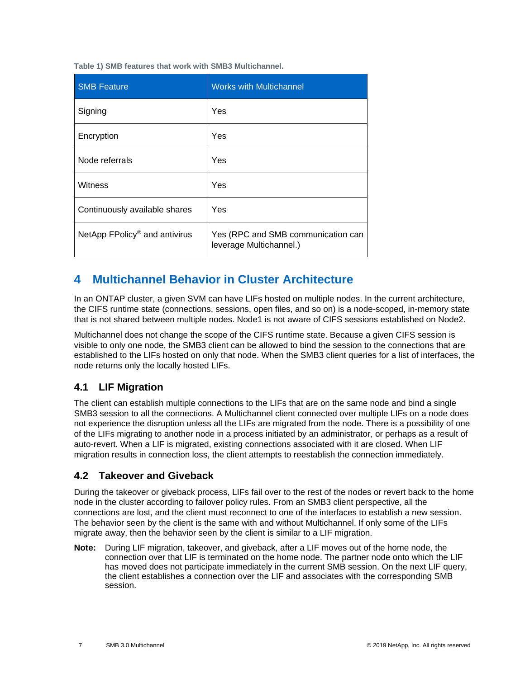<span id="page-6-3"></span>**Table 1) SMB features that work with SMB3 Multichannel.**

| <b>SMB Feature</b>                        | <b>Works with Multichannel</b>                                |
|-------------------------------------------|---------------------------------------------------------------|
| Signing                                   | Yes                                                           |
| Encryption                                | Yes                                                           |
| Node referrals                            | Yes                                                           |
| Witness                                   | Yes                                                           |
| Continuously available shares             | Yes                                                           |
| NetApp FPolicy <sup>®</sup> and antivirus | Yes (RPC and SMB communication can<br>leverage Multichannel.) |

## <span id="page-6-0"></span>**4 Multichannel Behavior in Cluster Architecture**

In an ONTAP cluster, a given SVM can have LIFs hosted on multiple nodes. In the current architecture, the CIFS runtime state (connections, sessions, open files, and so on) is a node-scoped, in-memory state that is not shared between multiple nodes. Node1 is not aware of CIFS sessions established on Node2.

Multichannel does not change the scope of the CIFS runtime state. Because a given CIFS session is visible to only one node, the SMB3 client can be allowed to bind the session to the connections that are established to the LIFs hosted on only that node. When the SMB3 client queries for a list of interfaces, the node returns only the locally hosted LIFs.

## <span id="page-6-1"></span>**4.1 LIF Migration**

The client can establish multiple connections to the LIFs that are on the same node and bind a single SMB3 session to all the connections. A Multichannel client connected over multiple LIFs on a node does not experience the disruption unless all the LIFs are migrated from the node. There is a possibility of one of the LIFs migrating to another node in a process initiated by an administrator, or perhaps as a result of auto-revert. When a LIF is migrated, existing connections associated with it are closed. When LIF migration results in connection loss, the client attempts to reestablish the connection immediately.

### <span id="page-6-2"></span>**4.2 Takeover and Giveback**

During the takeover or giveback process, LIFs fail over to the rest of the nodes or revert back to the home node in the cluster according to failover policy rules. From an SMB3 client perspective, all the connections are lost, and the client must reconnect to one of the interfaces to establish a new session. The behavior seen by the client is the same with and without Multichannel. If only some of the LIFs migrate away, then the behavior seen by the client is similar to a LIF migration.

**Note:** During LIF migration, takeover, and giveback, after a LIF moves out of the home node, the connection over that LIF is terminated on the home node. The partner node onto which the LIF has moved does not participate immediately in the current SMB session. On the next LIF query, the client establishes a connection over the LIF and associates with the corresponding SMB session.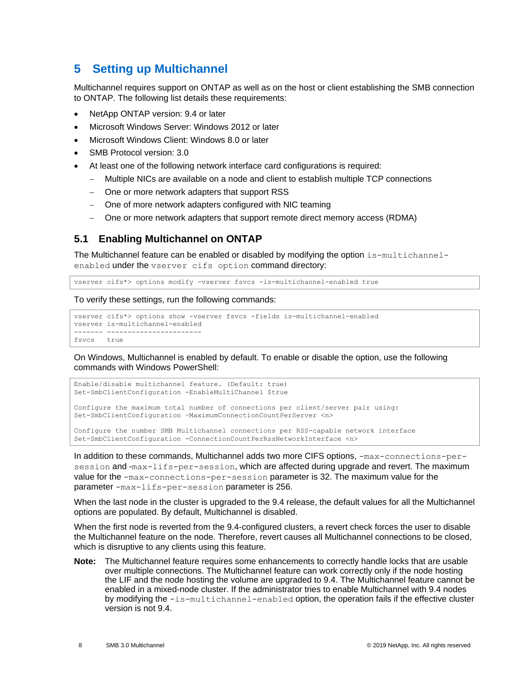## <span id="page-7-0"></span>**5 Setting up Multichannel**

Multichannel requires support on ONTAP as well as on the host or client establishing the SMB connection to ONTAP. The following list details these requirements:

- NetApp ONTAP version: 9.4 or later
- Microsoft Windows Server: Windows 2012 or later
- Microsoft Windows Client: Windows 8.0 or later
- SMB Protocol version: 3.0
- At least one of the following network interface card configurations is required:
	- − Multiple NICs are available on a node and client to establish multiple TCP connections
	- One or more network adapters that support RSS
	- − One of more network adapters configured with NIC teaming
	- − One or more network adapters that support remote direct memory access (RDMA)

### <span id="page-7-1"></span>**5.1 Enabling Multichannel on ONTAP**

The Multichannel feature can be enabled or disabled by modifying the option is-multichannelenabled under the vserver cifs option command directory:

vserver cifs\*> options modify -vserver fsvcs -is-multichannel-enabled true

To verify these settings, run the following commands:

```
vserver cifs*> options show -vserver fsvcs -fields is-multichannel-enabled
vserver is-multichannel-enabled
------- -----------------------
fsvcs true
```
On Windows, Multichannel is enabled by default. To enable or disable the option, use the following commands with Windows PowerShell:

```
Enable/disable multichannel feature. (Default: true)
Set-SmbClientConfiguration -EnableMultiChannel $true
Configure the maximum total number of connections per client/server pair using:
Set-SmbClientConfiguration –MaximumConnectionCountPerServer <n>
Configure the number SMB Multichannel connections per RSS-capable network interface
```
Set-SmbClientConfiguration -ConnectionCountPerRssNetworkInterface <n>

In addition to these commands, Multichannel adds two more CIFS options, -max-connections-persession and -max-lifs-per-session, which are affected during upgrade and revert. The maximum value for the -max-connections-per-session parameter is 32. The maximum value for the parameter -max-lifs-per-session parameter is 256.

When the last node in the cluster is upgraded to the 9.4 release, the default values for all the Multichannel options are populated. By default, Multichannel is disabled.

When the first node is reverted from the 9.4-configured clusters, a revert check forces the user to disable the Multichannel feature on the node. Therefore, revert causes all Multichannel connections to be closed, which is disruptive to any clients using this feature.

**Note:** The Multichannel feature requires some enhancements to correctly handle locks that are usable over multiple connections. The Multichannel feature can work correctly only if the node hosting the LIF and the node hosting the volume are upgraded to 9.4. The Multichannel feature cannot be enabled in a mixed-node cluster. If the administrator tries to enable Multichannel with 9.4 nodes by modifying the -is-multichannel-enabled option, the operation fails if the effective cluster version is not 9.4.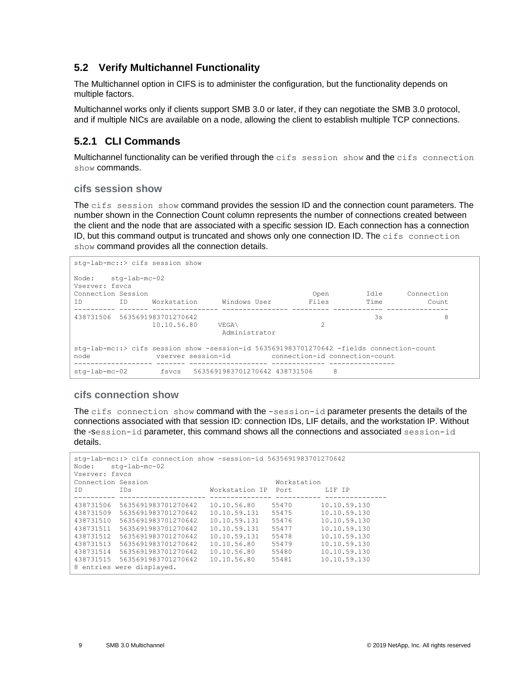## <span id="page-8-0"></span>**5.2 Verify Multichannel Functionality**

The Multichannel option in CIFS is to administer the configuration, but the functionality depends on multiple factors.

Multichannel works only if clients support SMB 3.0 or later, if they can negotiate the SMB 3.0 protocol, and if multiple NICs are available on a node, allowing the client to establish multiple TCP connections.

## <span id="page-8-1"></span>**5.2.1 CLI Commands**

Multichannel functionality can be verified through the cifs session show and the cifs connection show commands.

### **cifs session show**

The cifs session show command provides the session ID and the connection count parameters. The number shown in the Connection Count column represents the number of connections created between the client and the node that are associated with a specific session ID. Each connection has a connection ID, but this command output is truncated and shows only one connection ID. The cifs connection show command provides all the connection details.

```
stg-lab-mc::> cifs session show
Node: stg-lab-mc-02
Vserver: fsvcs
Connection Session Open Idle Connection
ID ID Workstation Windows User Files Time Count
---------- ------- ---------------- ---------------- --------- ------------ ---------------
438731506 5635691983701270642<br>10.10.56.80 38 89
               10.10.56.80 VEGA\ 2
                            Administrator
stg-lab-mc::> cifs session show -session-id 5635691983701270642 -fields connection-count
node vserver session-id connection-id connection-count
------------------- ------- ------------------- ------------- ----------------
stg-lab-mc-02 fsvcs 5635691983701270642 438731506 8
```
### **cifs connection show**

The cifs connection show command with the -session-id parameter presents the details of the connections associated with that session ID: connection IDs, LIF details, and the workstation IP. Without the -session-id parameter, this command shows all the connections and associated session-id details.

```
stg-lab-mc::> cifs connection show -session-id 5635691983701270642
Node: stg-lab-mc-02
Vserver: fsvcs
Connection Session and Morkstation Morkstation IP Port and IP IP IP UP IP MORE INTERNATION IP PORT AND IP IP
ID IDs IDs Workstation IP Port
 ---------- --------------------- --------------- ----------- ---------------
438731506 5635691983701270642 10.10.56.80 55470 10.10.59.130
438731509 5635691983701270642 10.10.59.131 55475 10.10.59.130
438731510 5635691983701270642 10.10.59.131 55476 10.10.59.130
438731511 5635691983701270642 10.10.59.131 55477 10.10.59.130
438731512 5635691983701270642 10.10.59.131 55478 10.10.59.130
438731513 5635691983701270642 10.10.56.80 55479 10.10.59.130
438731514 5635691983701270642 10.10.56.80 55480 10.10.59.130
438731515 5635691983701270642 10.10.56.80 55481 10.10.59.130
8 entries were displayed.
```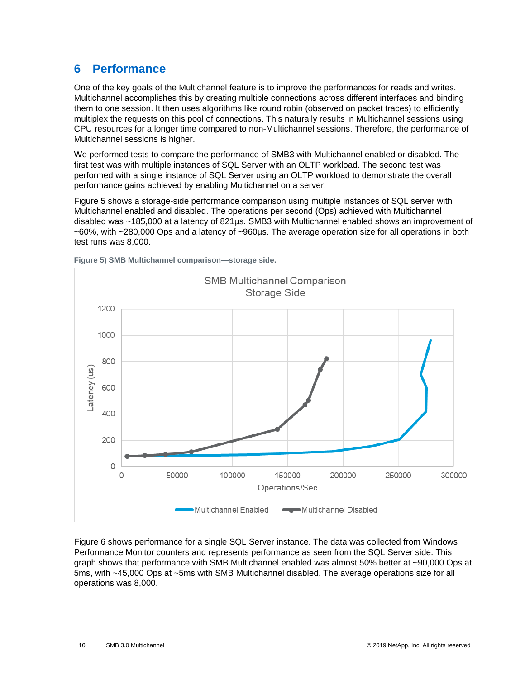## <span id="page-9-0"></span>**6 Performance**

One of the key goals of the Multichannel feature is to improve the performances for reads and writes. Multichannel accomplishes this by creating multiple connections across different interfaces and binding them to one session. It then uses algorithms like round robin (observed on packet traces) to efficiently multiplex the requests on this pool of connections. This naturally results in Multichannel sessions using CPU resources for a longer time compared to non-Multichannel sessions. Therefore, the performance of Multichannel sessions is higher.

We performed tests to compare the performance of SMB3 with Multichannel enabled or disabled. The first test was with multiple instances of SQL Server with an OLTP workload. The second test was performed with a single instance of SQL Server using an OLTP workload to demonstrate the overall performance gains achieved by enabling Multichannel on a server.

[Figure 5](#page-9-1) shows a storage-side performance comparison using multiple instances of SQL server with Multichannel enabled and disabled. The operations per second (Ops) achieved with Multichannel disabled was ~185,000 at a latency of 821µs. SMB3 with Multichannel enabled shows an improvement of ~60%, with ~280,000 Ops and a latency of ~960µs. The average operation size for all operations in both test runs was 8,000.



<span id="page-9-1"></span>**Figure 5) SMB Multichannel comparison—storage side.**

[Figure 6](#page-10-1) shows performance for a single SQL Server instance. The data was collected from Windows Performance Monitor counters and represents performance as seen from the SQL Server side. This graph shows that performance with SMB Multichannel enabled was almost 50% better at ~90,000 Ops at 5ms, with ~45,000 Ops at ~5ms with SMB Multichannel disabled. The average operations size for all operations was 8,000.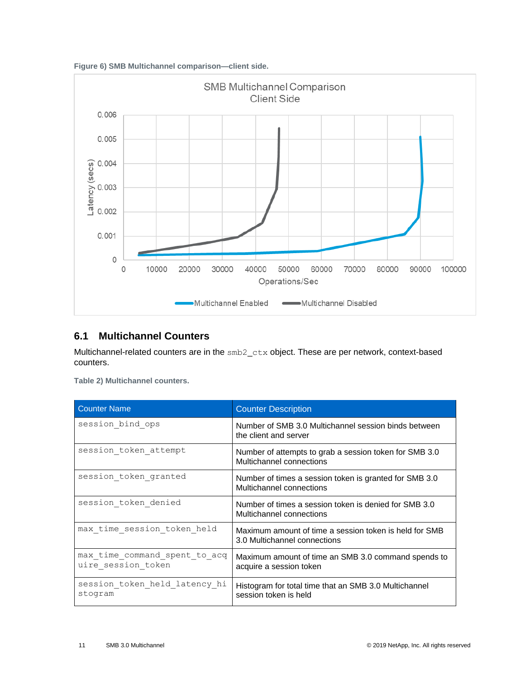<span id="page-10-1"></span>



## <span id="page-10-0"></span>**6.1 Multichannel Counters**

Multichannel-related counters are in the smb2\_ctx object. These are per network, context-based counters.

|  |  | Table 2) Multichannel counters. |  |
|--|--|---------------------------------|--|
|--|--|---------------------------------|--|

| <b>Counter Name</b>                                 | <b>Counter Description</b>                                                             |
|-----------------------------------------------------|----------------------------------------------------------------------------------------|
| session bind ops                                    | Number of SMB 3.0 Multichannel session binds between<br>the client and server          |
| session token attempt                               | Number of attempts to grab a session token for SMB 3.0<br>Multichannel connections     |
| session token granted                               | Number of times a session token is granted for SMB 3.0<br>Multichannel connections     |
| session token denied                                | Number of times a session token is denied for SMB 3.0<br>Multichannel connections      |
| max time session token held                         | Maximum amount of time a session token is held for SMB<br>3.0 Multichannel connections |
| max time command spent to acq<br>uire session token | Maximum amount of time an SMB 3.0 command spends to<br>acquire a session token         |
| session token held latency hi<br>stogram            | Histogram for total time that an SMB 3.0 Multichannel<br>session token is held         |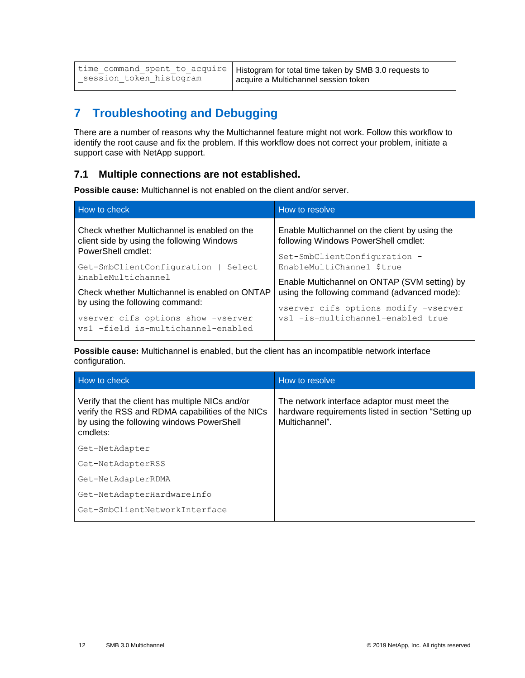|                         | time_command_spent_to_acquire   Histogram for total time taken by SMB 3.0 requests to |
|-------------------------|---------------------------------------------------------------------------------------|
| session token histogram | l acquire a Multichannel session token                                                |

# <span id="page-11-0"></span>**7 Troubleshooting and Debugging**

There are a number of reasons why the Multichannel feature might not work. Follow this workflow to identify the root cause and fix the problem. If this workflow does not correct your problem, initiate a support case with NetApp support.

### <span id="page-11-1"></span>**7.1 Multiple connections are not established.**

**Possible cause:** Multichannel is not enabled on the client and/or server.

| How to check                                                                                            | How to resolve                                                                                |  |
|---------------------------------------------------------------------------------------------------------|-----------------------------------------------------------------------------------------------|--|
| Check whether Multichannel is enabled on the<br>client side by using the following Windows              | Enable Multichannel on the client by using the<br>following Windows PowerShell cmdlet:        |  |
| PowerShell cmdlet:<br>Get-SmbClientConfiguration  <br>Select -                                          | Set-SmbClientConfiguration -<br>EnableMultiChannel \$true                                     |  |
| EnableMultichannel<br>Check whether Multichannel is enabled on ONTAP<br>by using the following command: | Enable Multichannel on ONTAP (SVM setting) by<br>using the following command (advanced mode): |  |
| vserver cifs options show -vserver<br>vs1 -field is-multichannel-enabled                                | vserver cifs options modify -vserver<br>vs1 -is-multichannel-enabled true                     |  |

**Possible cause:** Multichannel is enabled, but the client has an incompatible network interface configuration.

| How to check                                                                                                                                                 | How to resolve                                                                                                       |
|--------------------------------------------------------------------------------------------------------------------------------------------------------------|----------------------------------------------------------------------------------------------------------------------|
| Verify that the client has multiple NICs and/or<br>verify the RSS and RDMA capabilities of the NICs<br>by using the following windows PowerShell<br>cmdlets: | The network interface adaptor must meet the<br>hardware requirements listed in section "Setting up<br>Multichannel". |
| Get-NetAdapter                                                                                                                                               |                                                                                                                      |
| Get-NetAdapterRSS                                                                                                                                            |                                                                                                                      |
| Get-NetAdapterRDMA                                                                                                                                           |                                                                                                                      |
| Get-NetAdapterHardwareInfo                                                                                                                                   |                                                                                                                      |
| Get-SmbClientNetworkInterface                                                                                                                                |                                                                                                                      |
|                                                                                                                                                              |                                                                                                                      |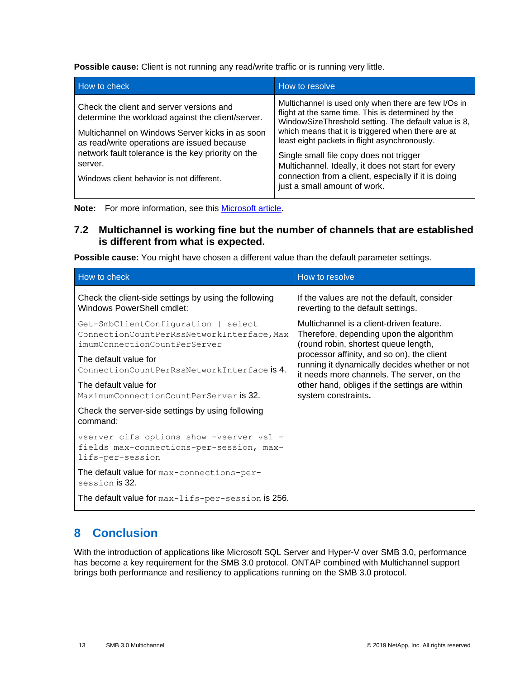**Possible cause:** Client is not running any read/write traffic or is running very little.

| How to check                                                                                   | How to resolve                                                                                                                                                     |
|------------------------------------------------------------------------------------------------|--------------------------------------------------------------------------------------------------------------------------------------------------------------------|
| Check the client and server versions and<br>determine the workload against the client/server.  | Multichannel is used only when there are few I/Os in<br>flight at the same time. This is determined by the<br>WindowSizeThreshold setting. The default value is 8, |
| Multichannel on Windows Server kicks in as soon<br>as read/write operations are issued because | which means that it is triggered when there are at<br>least eight packets in flight asynchronously.                                                                |
| network fault tolerance is the key priority on the<br>server.                                  | Single small file copy does not trigger<br>Multichannel. Ideally, it does not start for every                                                                      |
| Windows client behavior is not different.                                                      | connection from a client, especially if it is doing<br>just a small amount of work.                                                                                |

**Note:** For more information, see this [Microsoft article.](https://blogs.technet.microsoft.com/josebda/2013/01/18/how-much-traffic-needs-to-pass-between-the-smb-client-and-server-before-multichannel-actually-starts/)

### <span id="page-12-0"></span>**7.2 Multichannel is working fine but the number of channels that are established is different from what is expected.**

**Possible cause:** You might have chosen a different value than the default parameter settings.

| How to check                                                                                                      | How to resolve                                                                                                                                                                                                                                                                                                                                    |
|-------------------------------------------------------------------------------------------------------------------|---------------------------------------------------------------------------------------------------------------------------------------------------------------------------------------------------------------------------------------------------------------------------------------------------------------------------------------------------|
| Check the client-side settings by using the following<br>Windows PowerShell cmdlet:                               | If the values are not the default, consider<br>reverting to the default settings.                                                                                                                                                                                                                                                                 |
| Get-SmbClientConfiguration   select<br>ConnectionCountPerRssNetworkInterface, Max<br>imumConnectionCountPerServer | Multichannel is a client-driven feature.<br>Therefore, depending upon the algorithm<br>(round robin, shortest queue length,<br>processor affinity, and so on), the client<br>running it dynamically decides whether or not<br>it needs more channels. The server, on the<br>other hand, obliges if the settings are within<br>system constraints. |
| The default value for<br>ConnectionCountPerRssNetworkInterface is 4.                                              |                                                                                                                                                                                                                                                                                                                                                   |
| The default value for<br>MaximumConnectionCountPerServer is 32.                                                   |                                                                                                                                                                                                                                                                                                                                                   |
| Check the server-side settings by using following<br>command:                                                     |                                                                                                                                                                                                                                                                                                                                                   |
| vserver cifs options show -vserver vs1 -<br>fields max-connections-per-session, max-<br>lifs-per-session          |                                                                                                                                                                                                                                                                                                                                                   |
| The default value for max-connections-per-<br>session is 32.                                                      |                                                                                                                                                                                                                                                                                                                                                   |
| The default value for max-lifs-per-session is 256.                                                                |                                                                                                                                                                                                                                                                                                                                                   |

## <span id="page-12-1"></span>**8 Conclusion**

With the introduction of applications like Microsoft SQL Server and Hyper-V over SMB 3.0, performance has become a key requirement for the SMB 3.0 protocol. ONTAP combined with Multichannel support brings both performance and resiliency to applications running on the SMB 3.0 protocol.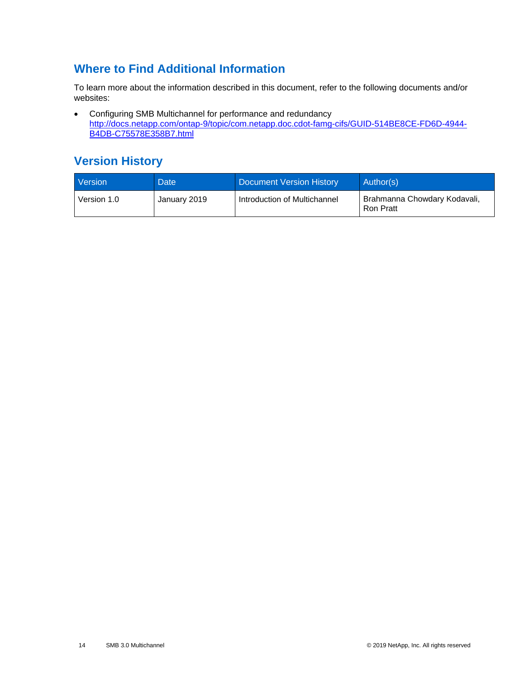## <span id="page-13-0"></span>**Where to Find Additional Information**

To learn more about the information described in this document, refer to the following documents and/or websites:

• Configuring SMB Multichannel for performance and redundancy [http://docs.netapp.com/ontap-9/topic/com.netapp.doc.cdot-famg-cifs/GUID-514BE8CE-FD6D-4944-](http://docs.netapp.com/ontap-9/topic/com.netapp.doc.cdot-famg-cifs/GUID-514BE8CE-FD6D-4944-B4DB-C75578E358B7.html) [B4DB-C75578E358B7.html](http://docs.netapp.com/ontap-9/topic/com.netapp.doc.cdot-famg-cifs/GUID-514BE8CE-FD6D-4944-B4DB-C75578E358B7.html)

## <span id="page-13-1"></span>**Version History**

| Version     | <b>Date</b>  | <b>Document Version History</b> | Author(s)                                        |
|-------------|--------------|---------------------------------|--------------------------------------------------|
| Version 1.0 | January 2019 | Introduction of Multichannel    | Brahmanna Chowdary Kodavali,<br><b>Ron Pratt</b> |